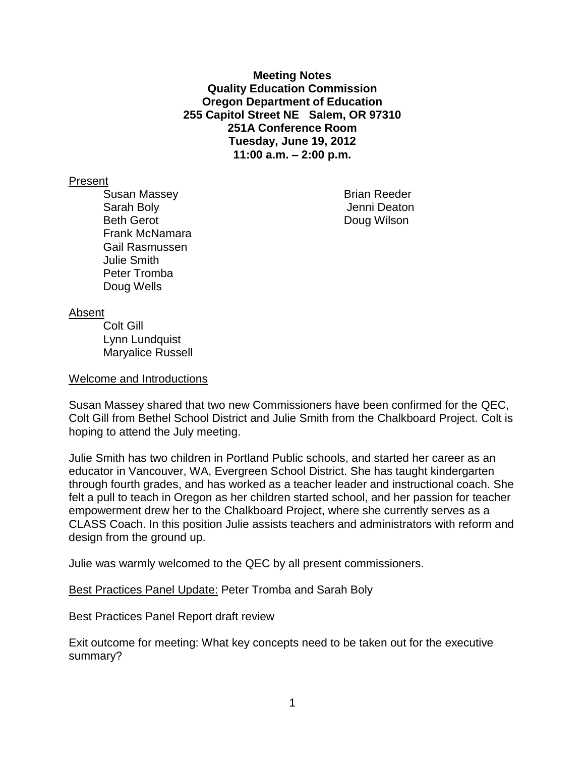**Meeting Notes Quality Education Commission Oregon Department of Education 255 Capitol Street NE Salem, OR 97310 251A Conference Room Tuesday, June 19, 2012 11:00 a.m. – 2:00 p.m.**

## Present

Susan Massey **Brian Reeder** Sarah Boly **Sarah Boly Jenni Deaton** Beth Gerot **Doug Wilson** Frank McNamara Gail Rasmussen Julie Smith Peter Tromba Doug Wells

### Absent

Colt Gill Lynn Lundquist Maryalice Russell

#### Welcome and Introductions

Susan Massey shared that two new Commissioners have been confirmed for the QEC, Colt Gill from Bethel School District and Julie Smith from the Chalkboard Project. Colt is hoping to attend the July meeting.

Julie Smith has two children in Portland Public schools, and started her career as an educator in Vancouver, WA, Evergreen School District. She has taught kindergarten through fourth grades, and has worked as a teacher leader and instructional coach. She felt a pull to teach in Oregon as her children started school, and her passion for teacher empowerment drew her to the Chalkboard Project, where she currently serves as a CLASS Coach. In this position Julie assists teachers and administrators with reform and design from the ground up.

Julie was warmly welcomed to the QEC by all present commissioners.

**Best Practices Panel Update: Peter Tromba and Sarah Boly** 

Best Practices Panel Report draft review

Exit outcome for meeting: What key concepts need to be taken out for the executive summary?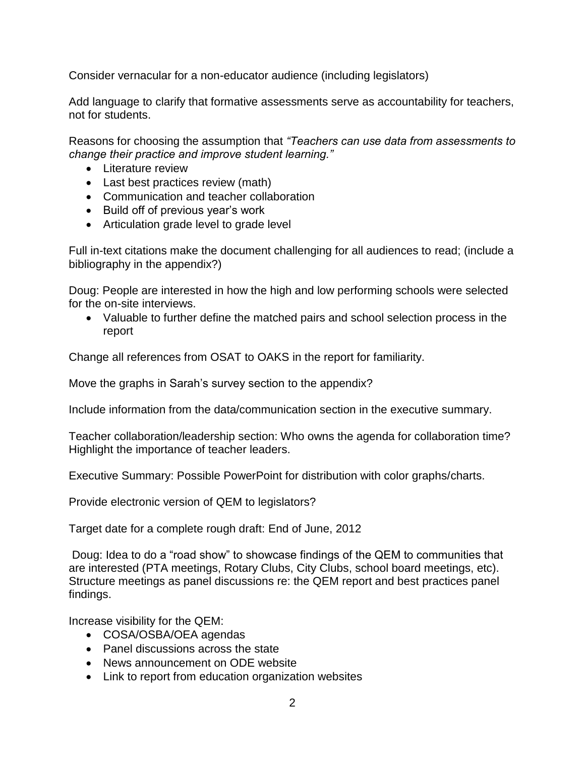Consider vernacular for a non-educator audience (including legislators)

Add language to clarify that formative assessments serve as accountability for teachers, not for students.

Reasons for choosing the assumption that *"Teachers can use data from assessments to change their practice and improve student learning."*

- Literature review
- Last best practices review (math)
- Communication and teacher collaboration
- Build off of previous year's work
- Articulation grade level to grade level

Full in-text citations make the document challenging for all audiences to read; (include a bibliography in the appendix?)

Doug: People are interested in how the high and low performing schools were selected for the on-site interviews.

 Valuable to further define the matched pairs and school selection process in the report

Change all references from OSAT to OAKS in the report for familiarity.

Move the graphs in Sarah's survey section to the appendix?

Include information from the data/communication section in the executive summary.

Teacher collaboration/leadership section: Who owns the agenda for collaboration time? Highlight the importance of teacher leaders.

Executive Summary: Possible PowerPoint for distribution with color graphs/charts.

Provide electronic version of QEM to legislators?

Target date for a complete rough draft: End of June, 2012

Doug: Idea to do a "road show" to showcase findings of the QEM to communities that are interested (PTA meetings, Rotary Clubs, City Clubs, school board meetings, etc). Structure meetings as panel discussions re: the QEM report and best practices panel findings.

Increase visibility for the QEM:

- COSA/OSBA/OEA agendas
- Panel discussions across the state
- News announcement on ODE website
- Link to report from education organization websites